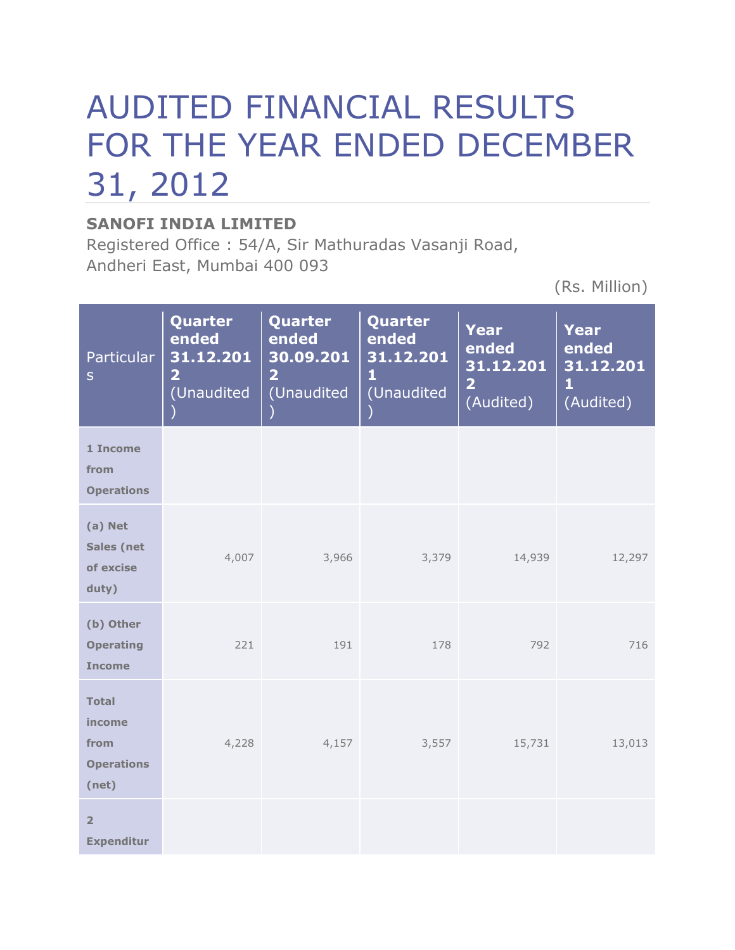# AUDITED FINANCIAL RESULTS FOR THE YEAR ENDED DECEMBER 31, 2012

## **SANOFI INDIA LIMITED**

Registered Office : 54/A, Sir Mathuradas Vasanji Road, Andheri East, Mumbai 400 093

(Rs. Million)

| <b>Particular</b><br>$\mathsf{S}$                            | Quarter<br>ended<br>31.12.201<br>$\overline{\mathbf{2}}$<br>(Unaudited | Quarter<br>ended<br>30.09.201<br>$\overline{\mathbf{2}}$<br>(Unaudited | Quarter<br>ended<br>31.12.201<br>$\mathbf{1}$<br>(Unaudited | <b>Year</b><br>ended<br>31.12.201<br>$\overline{\mathbf{2}}$<br>(Audited) | <b>Year</b><br>ended<br>31.12.201<br>$\mathbf{1}$<br>(Audited) |
|--------------------------------------------------------------|------------------------------------------------------------------------|------------------------------------------------------------------------|-------------------------------------------------------------|---------------------------------------------------------------------------|----------------------------------------------------------------|
| 1 Income<br>from<br><b>Operations</b>                        |                                                                        |                                                                        |                                                             |                                                                           |                                                                |
| (a) Net<br><b>Sales (net</b><br>of excise<br>duty)           | 4,007                                                                  | 3,966                                                                  | 3,379                                                       | 14,939                                                                    | 12,297                                                         |
| (b) Other<br><b>Operating</b><br><b>Income</b>               | 221                                                                    | 191                                                                    | 178                                                         | 792                                                                       | 716                                                            |
| <b>Total</b><br>income<br>from<br><b>Operations</b><br>(net) | 4,228                                                                  | 4,157                                                                  | 3,557                                                       | 15,731                                                                    | 13,013                                                         |
| $\overline{2}$<br><b>Expenditur</b>                          |                                                                        |                                                                        |                                                             |                                                                           |                                                                |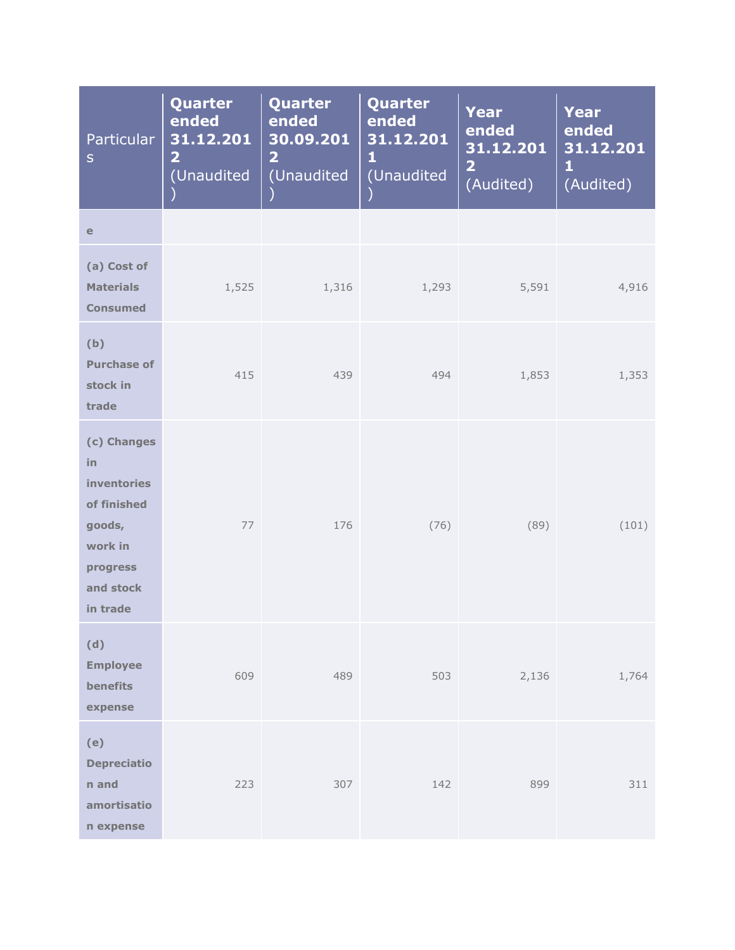| Particular<br>${\sf S}$                                                                                          | Quarter<br>ended<br>31.12.201<br>$\overline{\mathbf{2}}$<br>(Unaudited | Quarter<br>ended<br>30.09.201<br>$\overline{\mathbf{2}}$<br>(Unaudited | Quarter<br>ended<br>31.12.201<br>1<br>(Unaudited | Year<br>ended<br>31.12.201<br>$\overline{\mathbf{2}}$<br>(Audited) | <b>Year</b><br>ended<br>31.12.201<br>$\mathbf{1}$<br>(Audited) |
|------------------------------------------------------------------------------------------------------------------|------------------------------------------------------------------------|------------------------------------------------------------------------|--------------------------------------------------|--------------------------------------------------------------------|----------------------------------------------------------------|
| $\mathbf e$                                                                                                      |                                                                        |                                                                        |                                                  |                                                                    |                                                                |
| (a) Cost of<br><b>Materials</b><br><b>Consumed</b>                                                               | 1,525                                                                  | 1,316                                                                  | 1,293                                            | 5,591                                                              | 4,916                                                          |
| (b)<br><b>Purchase of</b><br>stock in<br>trade                                                                   | 415                                                                    | 439                                                                    | 494                                              | 1,853                                                              | 1,353                                                          |
| (c) Changes<br>in<br><b>inventories</b><br>of finished<br>goods,<br>work in<br>progress<br>and stock<br>in trade | 77                                                                     | 176                                                                    | (76)                                             | (89)                                                               | (101)                                                          |
| (d)<br><b>Employee</b><br>benefits<br>expense                                                                    | 609                                                                    | 489                                                                    | 503                                              | 2,136                                                              | 1,764                                                          |
| (e)<br><b>Depreciatio</b><br>n and<br>amortisatio<br>n expense                                                   | 223                                                                    | 307                                                                    | 142                                              | 899                                                                | 311                                                            |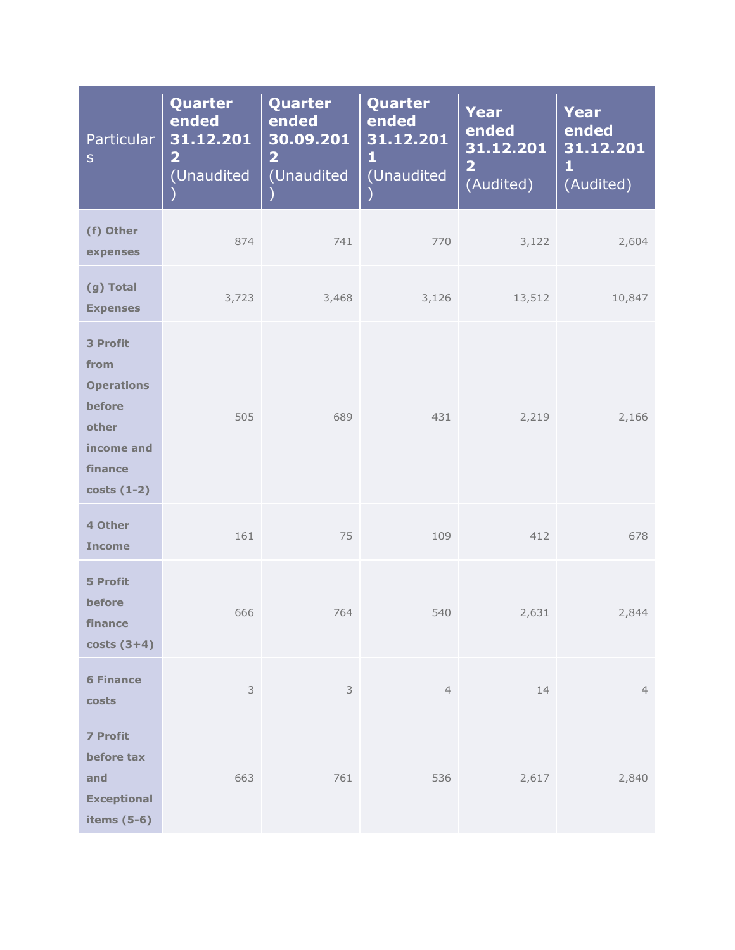| Particular<br>${\sf S}$                                                                           | Quarter<br>ended<br>31.12.201<br>$\overline{\mathbf{2}}$<br>(Unaudited | Quarter<br>ended<br>30.09.201<br>$\overline{\mathbf{2}}$<br>(Unaudited | Quarter<br>ended<br>31.12.201<br>1<br>(Unaudited | <b>Year</b><br>ended<br>31.12.201<br>$\overline{\mathbf{2}}$<br>(Audited) | <b>Year</b><br>ended<br>31.12.201<br>$\mathbf{1}$<br>(Audited) |
|---------------------------------------------------------------------------------------------------|------------------------------------------------------------------------|------------------------------------------------------------------------|--------------------------------------------------|---------------------------------------------------------------------------|----------------------------------------------------------------|
| (f) Other<br>expenses                                                                             | 874                                                                    | 741                                                                    | 770                                              | 3,122                                                                     | 2,604                                                          |
| (g) Total<br><b>Expenses</b>                                                                      | 3,723                                                                  | 3,468                                                                  | 3,126                                            | 13,512                                                                    | 10,847                                                         |
| 3 Profit<br>from<br><b>Operations</b><br>before<br>other<br>income and<br>finance<br>$costs(1-2)$ | 505                                                                    | 689                                                                    | 431                                              | 2,219                                                                     | 2,166                                                          |
| 4 Other<br><b>Income</b>                                                                          | 161                                                                    | 75                                                                     | 109                                              | 412                                                                       | 678                                                            |
| <b>5 Profit</b><br>before<br>finance<br>$costs(3+4)$                                              | 666                                                                    | 764                                                                    | 540                                              | 2,631                                                                     | 2,844                                                          |
| <b>6 Finance</b><br>costs                                                                         | $\mathsf 3$                                                            | 3                                                                      | $\overline{4}$                                   | 14                                                                        | $\overline{4}$                                                 |
| <b>7 Profit</b><br>before tax<br>and<br><b>Exceptional</b><br>items $(5-6)$                       | 663                                                                    | 761                                                                    | 536                                              | 2,617                                                                     | 2,840                                                          |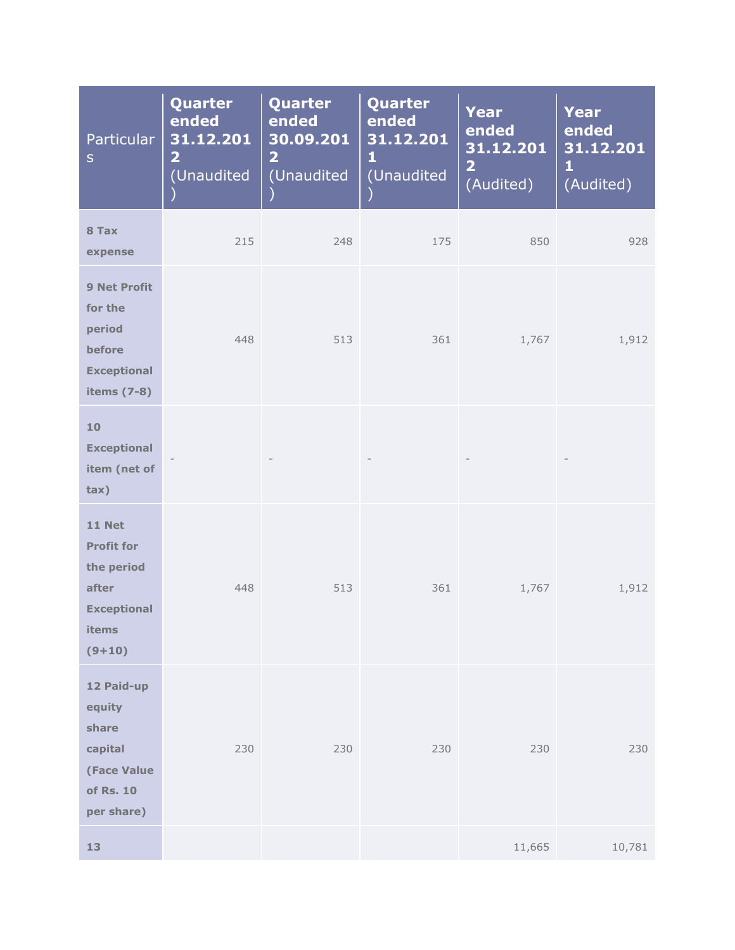| <b>Particular</b><br>$\mathsf{S}$                                                                    | Quarter<br>ended<br>31.12.201<br>$\overline{\mathbf{2}}$<br>(Unaudited | Quarter<br>ended<br>30.09.201<br>$\overline{\mathbf{2}}$<br>(Unaudited | Quarter<br>ended<br>31.12.201<br>1<br>(Unaudited | <b>Year</b><br>ended<br>31.12.201<br>$\overline{\mathbf{2}}$<br>(Audited) | Year<br>ended<br>31.12.201<br>$\mathbf{1}$<br>(Audited) |
|------------------------------------------------------------------------------------------------------|------------------------------------------------------------------------|------------------------------------------------------------------------|--------------------------------------------------|---------------------------------------------------------------------------|---------------------------------------------------------|
| 8 Tax<br>expense                                                                                     | 215                                                                    | 248                                                                    | 175                                              | 850                                                                       | 928                                                     |
| <b>9 Net Profit</b><br>for the<br>period<br>before<br><b>Exceptional</b><br>items (7-8)              | 448                                                                    | 513                                                                    | 361                                              | 1,767                                                                     | 1,912                                                   |
| 10<br><b>Exceptional</b><br>item (net of<br>tax)                                                     |                                                                        |                                                                        |                                                  |                                                                           |                                                         |
| <b>11 Net</b><br><b>Profit for</b><br>the period<br>after<br><b>Exceptional</b><br>items<br>$(9+10)$ | 448                                                                    | 513                                                                    | 361                                              | 1,767                                                                     | 1,912                                                   |
| 12 Paid-up<br>equity<br>share<br>capital<br><b>(Face Value</b><br>of Rs. 10<br>per share)            | 230                                                                    | 230                                                                    | 230                                              | 230                                                                       | 230                                                     |
| 13                                                                                                   |                                                                        |                                                                        |                                                  | 11,665                                                                    | 10,781                                                  |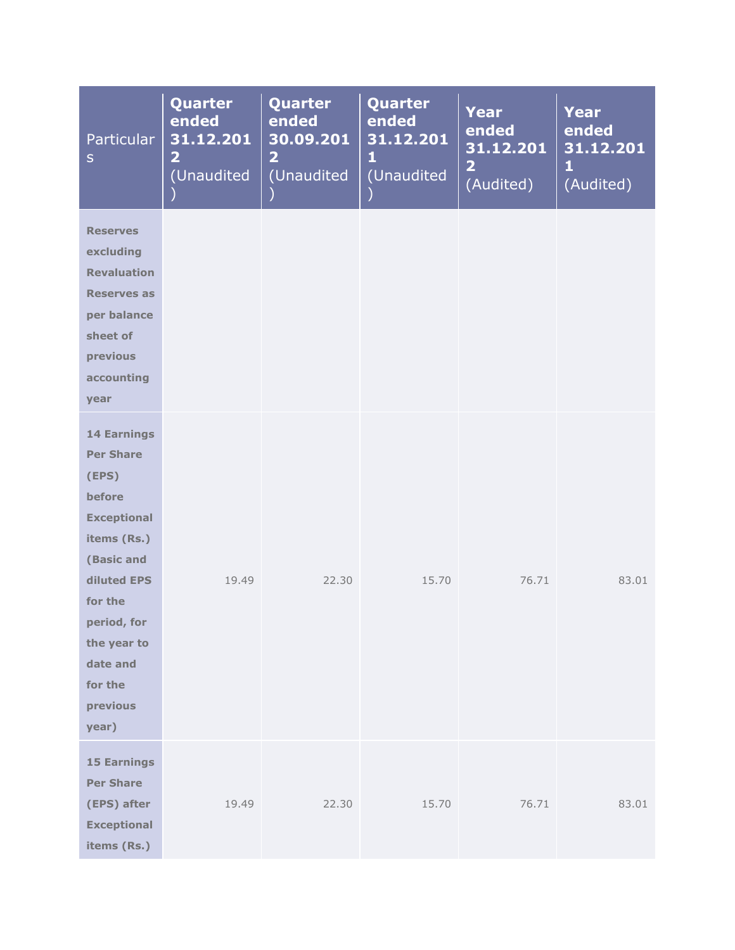| Particular<br>$\sf S$                                                                                                                                                                                            | Quarter<br>ended<br>31.12.201<br>$\overline{\mathbf{2}}$<br>(Unaudited | Quarter<br>ended<br>30.09.201<br>$\overline{\mathbf{2}}$<br>(Unaudited | Quarter<br>ended<br>31.12.201<br>1<br>(Unaudited | <b>Year</b><br>ended<br>31.12.201<br>$\overline{2}$<br>(Audited) | <b>Year</b><br>ended<br>31.12.201<br>$\mathbf{1}$<br>(Audited) |
|------------------------------------------------------------------------------------------------------------------------------------------------------------------------------------------------------------------|------------------------------------------------------------------------|------------------------------------------------------------------------|--------------------------------------------------|------------------------------------------------------------------|----------------------------------------------------------------|
| <b>Reserves</b><br>excluding<br><b>Revaluation</b><br><b>Reserves as</b><br>per balance<br>sheet of<br>previous<br>accounting<br>year                                                                            |                                                                        |                                                                        |                                                  |                                                                  |                                                                |
| <b>14 Earnings</b><br><b>Per Share</b><br>(EPS)<br>before<br><b>Exceptional</b><br>items (Rs.)<br>(Basic and<br>diluted EPS<br>for the<br>period, for<br>the year to<br>date and<br>for the<br>previous<br>year) | 19.49                                                                  | 22.30                                                                  | 15.70                                            | 76.71                                                            | 83.01                                                          |
| <b>15 Earnings</b><br><b>Per Share</b><br>(EPS) after<br><b>Exceptional</b><br>items (Rs.)                                                                                                                       | 19.49                                                                  | 22.30                                                                  | 15.70                                            | 76.71                                                            | 83.01                                                          |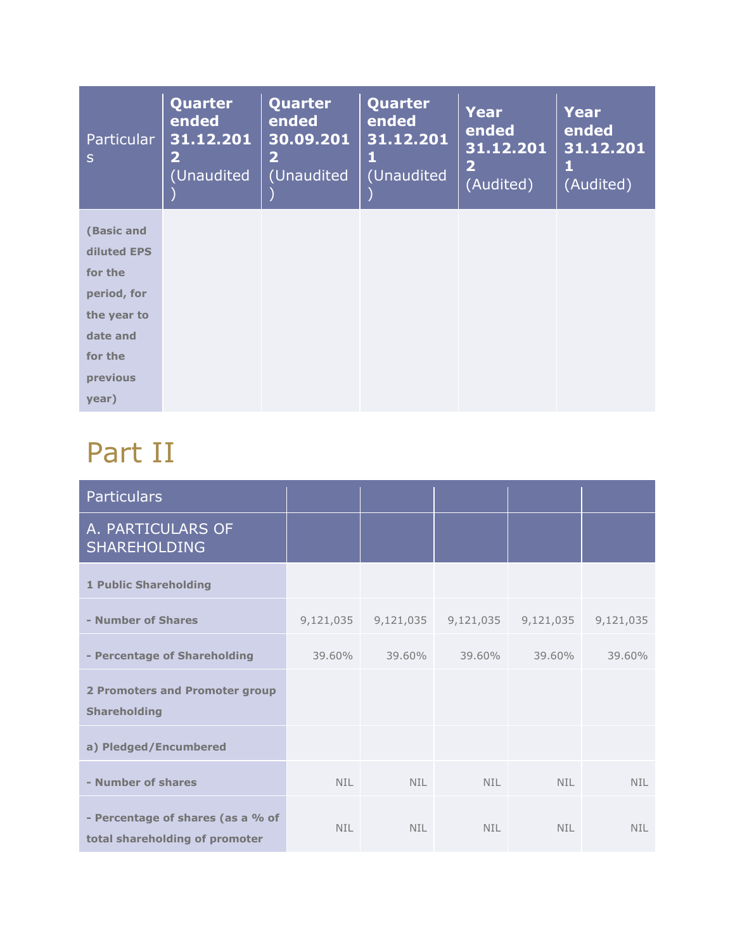| <b>Particular</b><br>$\mathsf{S}$ | Quarter<br>ended<br>31.12.201<br>$\mathbf{2}$<br>(Unaudited | Quarter<br>ended<br>30.09.201<br>$\overline{\mathbf{2}}$<br>(Unaudited | Quarter<br>ended<br>31.12.201<br>ш<br>(Unaudited | <b>Year</b><br>ended<br>31.12.201<br>$\overline{\mathbf{2}}$<br>(Audited) | Year<br>ended<br>31.12.201<br>1<br>(Audited) |
|-----------------------------------|-------------------------------------------------------------|------------------------------------------------------------------------|--------------------------------------------------|---------------------------------------------------------------------------|----------------------------------------------|
| (Basic and                        |                                                             |                                                                        |                                                  |                                                                           |                                              |
| diluted EPS                       |                                                             |                                                                        |                                                  |                                                                           |                                              |
| for the                           |                                                             |                                                                        |                                                  |                                                                           |                                              |
| period, for                       |                                                             |                                                                        |                                                  |                                                                           |                                              |
| the year to                       |                                                             |                                                                        |                                                  |                                                                           |                                              |
| date and                          |                                                             |                                                                        |                                                  |                                                                           |                                              |
| for the                           |                                                             |                                                                        |                                                  |                                                                           |                                              |
| previous                          |                                                             |                                                                        |                                                  |                                                                           |                                              |
| year)                             |                                                             |                                                                        |                                                  |                                                                           |                                              |

# Part II

| <b>Particulars</b>                                                  |           |            |            |            |            |
|---------------------------------------------------------------------|-----------|------------|------------|------------|------------|
| A. PARTICULARS OF<br><b>SHAREHOLDING</b>                            |           |            |            |            |            |
| <b>1 Public Shareholding</b>                                        |           |            |            |            |            |
| - Number of Shares                                                  | 9,121,035 | 9,121,035  | 9,121,035  | 9,121,035  | 9,121,035  |
| - Percentage of Shareholding                                        | 39.60%    | 39.60%     | 39.60%     | 39.60%     | 39.60%     |
| <b>2 Promoters and Promoter group</b><br><b>Shareholding</b>        |           |            |            |            |            |
| a) Pledged/Encumbered                                               |           |            |            |            |            |
| - Number of shares                                                  | NIL.      | <b>NIL</b> | <b>NIL</b> | <b>NIL</b> | <b>NIL</b> |
| - Percentage of shares (as a % of<br>total shareholding of promoter | NIL.      | <b>NIL</b> | <b>NIL</b> | <b>NIL</b> | <b>NIL</b> |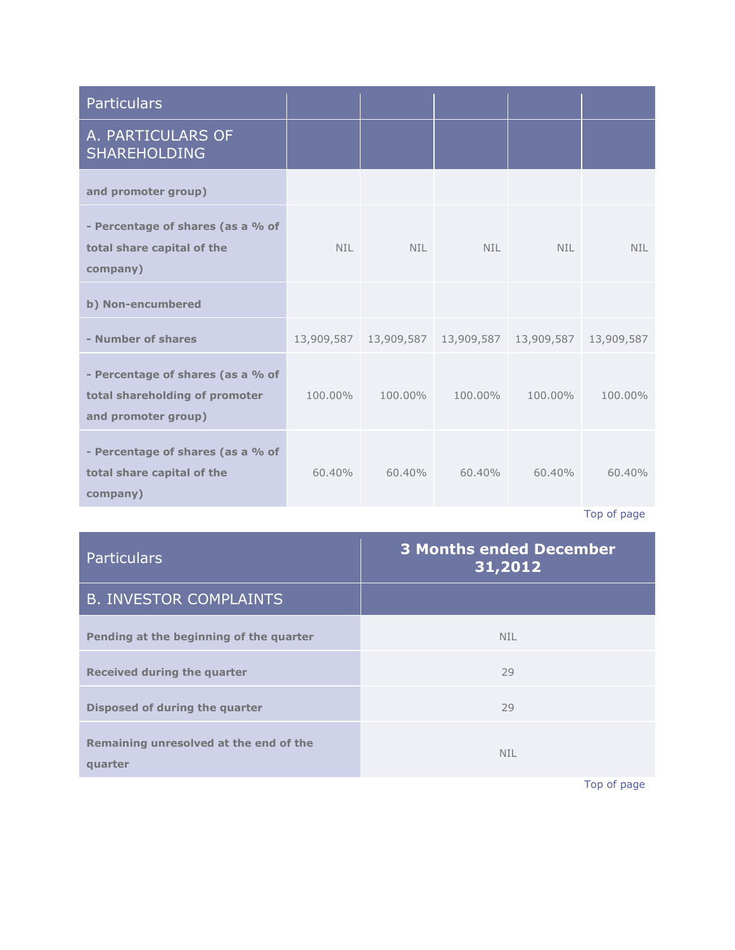| <b>Particulars</b>                                                                         |           |                                                |            |            |            |
|--------------------------------------------------------------------------------------------|-----------|------------------------------------------------|------------|------------|------------|
| A. PARTICULARS OF<br><b>SHAREHOLDING</b>                                                   |           |                                                |            |            |            |
| and promoter group)                                                                        |           |                                                |            |            |            |
| - Percentage of shares (as a % of<br>total share capital of the<br>company)                | NIL.      | <b>NIL</b>                                     | <b>NIL</b> | <b>NIL</b> | <b>NIL</b> |
| b) Non-encumbered                                                                          |           |                                                |            |            |            |
| - Number of shares                                                                         |           | 13,909,587  13,909,587  13,909,587  13,909,587 |            |            | 13,909,587 |
| - Percentage of shares (as a % of<br>total shareholding of promoter<br>and promoter group) | 100.00%   | 100.00%                                        | 100.00%    | 100.00%    | 100.00%    |
| - Percentage of shares (as a % of<br>total share capital of the<br>company)                | $60.40\%$ | $60.40\%$                                      | $60.40\%$  | $60.40\%$  | 60.40%     |

[Top of page](http://www.sanofiindialtd.com/l/pw/en/layout.jsp?cnt=076F090E-47EE-453E-BDD4-9A91DC5C15B4#area_b)

| <b>Particulars</b>                                | <b>3 Months ended December</b><br>31,2012 |
|---------------------------------------------------|-------------------------------------------|
| <b>B. INVESTOR COMPLAINTS</b>                     |                                           |
| Pending at the beginning of the quarter           | <b>NIL</b>                                |
| <b>Received during the quarter</b>                | 29                                        |
| Disposed of during the quarter                    | 29                                        |
| Remaining unresolved at the end of the<br>quarter | <b>NIL</b>                                |

[Top of page](http://www.sanofiindialtd.com/l/pw/en/layout.jsp?cnt=076F090E-47EE-453E-BDD4-9A91DC5C15B4#area_b)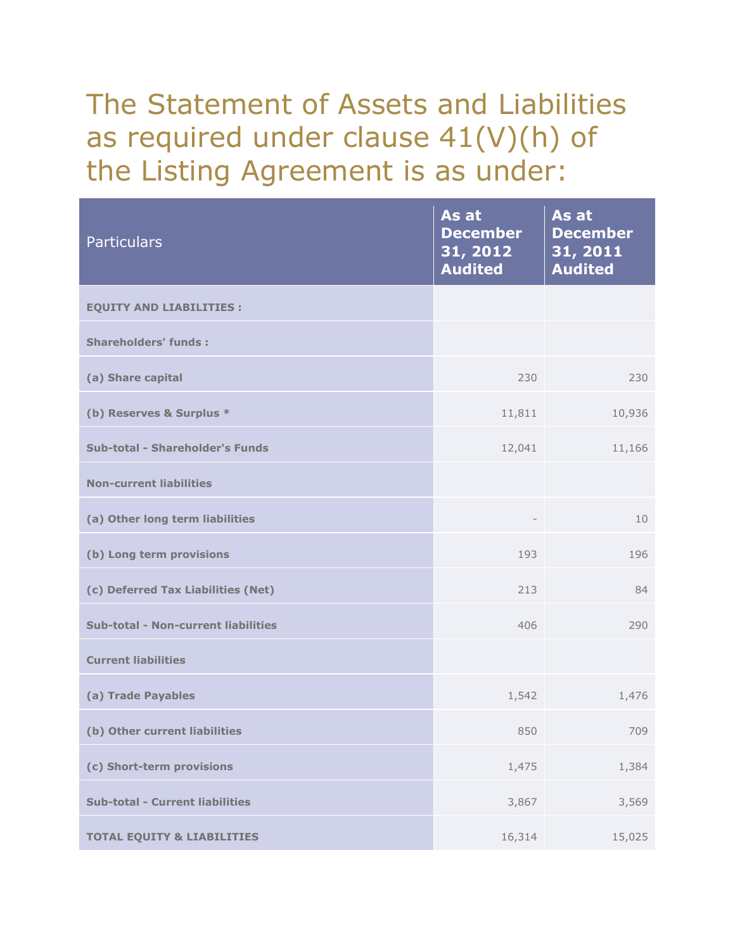# The Statement of Assets and Liabilities as required under clause 41(V)(h) of the Listing Agreement is as under:

| <b>Particulars</b>                         | As at<br><b>December</b><br>31, 2012<br><b>Audited</b> | As at<br><b>December</b><br>31, 2011<br><b>Audited</b> |
|--------------------------------------------|--------------------------------------------------------|--------------------------------------------------------|
| <b>EQUITY AND LIABILITIES :</b>            |                                                        |                                                        |
| <b>Shareholders' funds:</b>                |                                                        |                                                        |
| (a) Share capital                          | 230                                                    | 230                                                    |
| (b) Reserves & Surplus *                   | 11,811                                                 | 10,936                                                 |
| Sub-total - Shareholder's Funds            | 12,041                                                 | 11,166                                                 |
| <b>Non-current liabilities</b>             |                                                        |                                                        |
| (a) Other long term liabilities            |                                                        | 10                                                     |
| (b) Long term provisions                   | 193                                                    | 196                                                    |
| (c) Deferred Tax Liabilities (Net)         | 213                                                    | 84                                                     |
| <b>Sub-total - Non-current liabilities</b> | 406                                                    | 290                                                    |
| <b>Current liabilities</b>                 |                                                        |                                                        |
| (a) Trade Payables                         | 1,542                                                  | 1,476                                                  |
| (b) Other current liabilities              | 850                                                    | 709                                                    |
| (c) Short-term provisions                  | 1,475                                                  | 1,384                                                  |
| <b>Sub-total - Current liabilities</b>     | 3,867                                                  | 3,569                                                  |
| <b>TOTAL EQUITY &amp; LIABILITIES</b>      | 16,314                                                 | 15,025                                                 |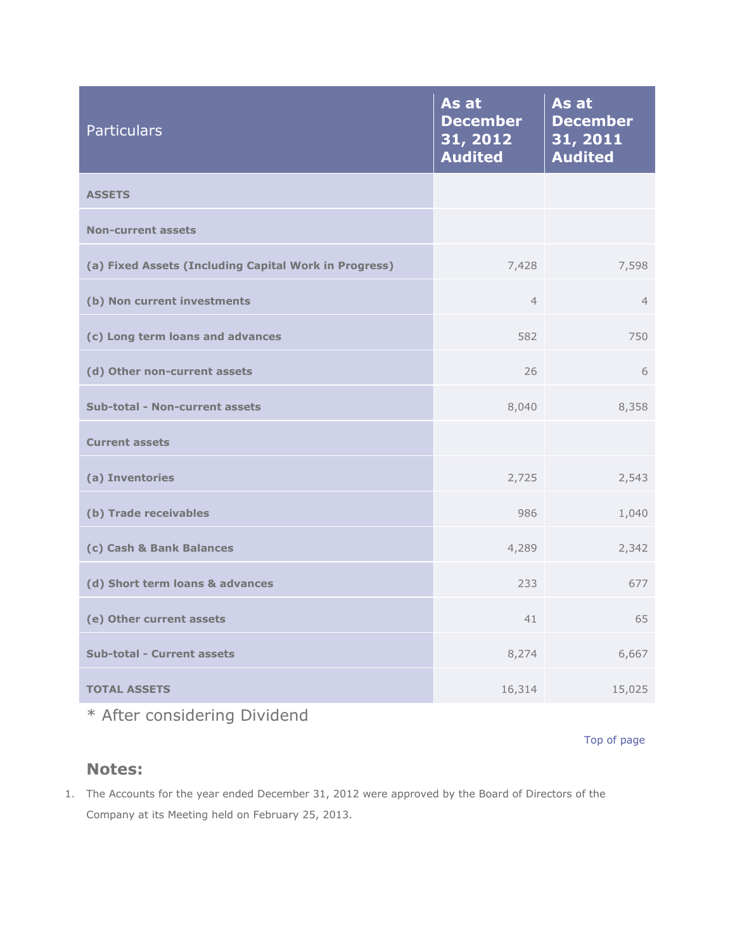| <b>Particulars</b>                                    | As at<br><b>December</b><br>31, 2012<br><b>Audited</b> | As at<br><b>December</b><br>31, 2011<br><b>Audited</b> |
|-------------------------------------------------------|--------------------------------------------------------|--------------------------------------------------------|
| <b>ASSETS</b>                                         |                                                        |                                                        |
| <b>Non-current assets</b>                             |                                                        |                                                        |
| (a) Fixed Assets (Including Capital Work in Progress) | 7,428                                                  | 7,598                                                  |
| (b) Non current investments                           | $\overline{4}$                                         | $\overline{4}$                                         |
| (c) Long term loans and advances                      | 582                                                    | 750                                                    |
| (d) Other non-current assets                          | 26                                                     | 6                                                      |
| <b>Sub-total - Non-current assets</b>                 | 8,040                                                  | 8,358                                                  |
| <b>Current assets</b>                                 |                                                        |                                                        |
| (a) Inventories                                       | 2,725                                                  | 2,543                                                  |
| (b) Trade receivables                                 | 986                                                    | 1,040                                                  |
| (c) Cash & Bank Balances                              | 4,289                                                  | 2,342                                                  |
| (d) Short term loans & advances                       | 233                                                    | 677                                                    |
| (e) Other current assets                              | 41                                                     | 65                                                     |
| <b>Sub-total - Current assets</b>                     | 8,274                                                  | 6,667                                                  |
| <b>TOTAL ASSETS</b>                                   | 16,314                                                 | 15,025                                                 |

\* After considering Dividend

[Top of page](http://www.sanofiindialtd.com/l/pw/en/layout.jsp?cnt=076F090E-47EE-453E-BDD4-9A91DC5C15B4#area_b)

### **Notes:**

1. The Accounts for the year ended December 31, 2012 were approved by the Board of Directors of the Company at its Meeting held on February 25, 2013.